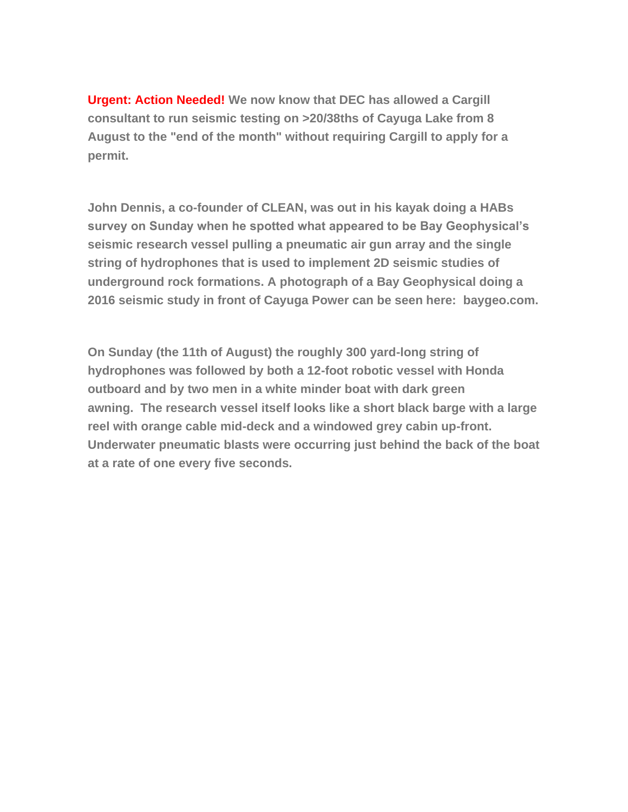**Urgent: Action Needed! We now know that DEC has allowed a Cargill consultant to run seismic testing on >20/38ths of Cayuga Lake from 8 August to the "end of the month" without requiring Cargill to apply for a permit.**

**John Dennis, a co-founder of CLEAN, was out in his kayak doing a HABs survey on Sunday when he spotted what appeared to be Bay Geophysical's seismic research vessel pulling a pneumatic air gun array and the single string of hydrophones that is used to implement 2D seismic studies of underground rock formations. A photograph of a Bay Geophysical doing a 2016 seismic study in front of Cayuga Power can be seen here: baygeo.com.**

**On Sunday (the 11th of August) the roughly 300 yard-long string of hydrophones was followed by both a 12-foot robotic vessel with Honda outboard and by two men in a white minder boat with dark green awning. The research vessel itself looks like a short black barge with a large reel with orange cable mid-deck and a windowed grey cabin up-front. Underwater pneumatic blasts were occurring just behind the back of the boat at a rate of one every five seconds.**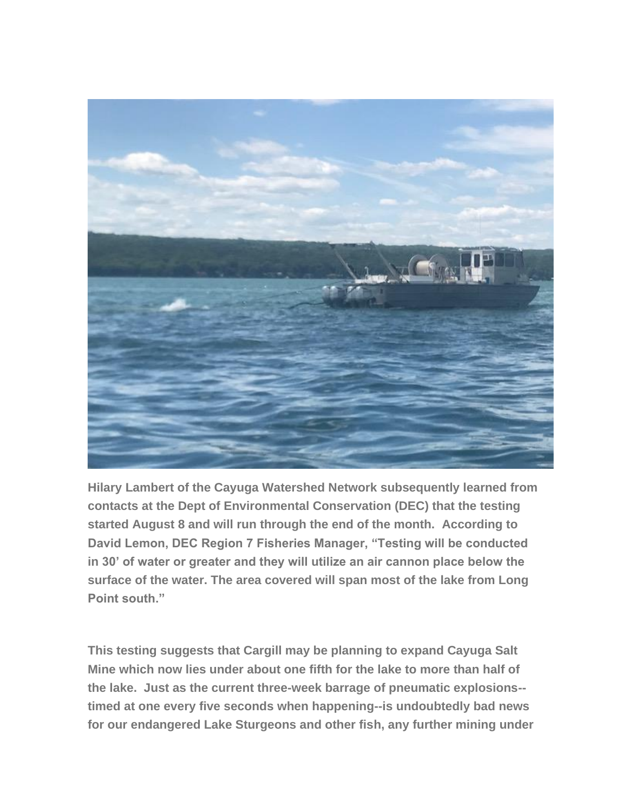

**Hilary Lambert of the Cayuga Watershed Network subsequently learned from contacts at the Dept of Environmental Conservation (DEC) that the testing started August 8 and will run through the end of the month. According to David Lemon, DEC Region 7 Fisheries Manager, "Testing will be conducted in 30' of water or greater and they will utilize an air cannon place below the surface of the water. The area covered will span most of the lake from Long Point south."**

**This testing suggests that Cargill may be planning to expand Cayuga Salt Mine which now lies under about one fifth for the lake to more than half of the lake. Just as the current three-week barrage of pneumatic explosions- timed at one every five seconds when happening--is undoubtedly bad news for our endangered Lake Sturgeons and other fish, any further mining under**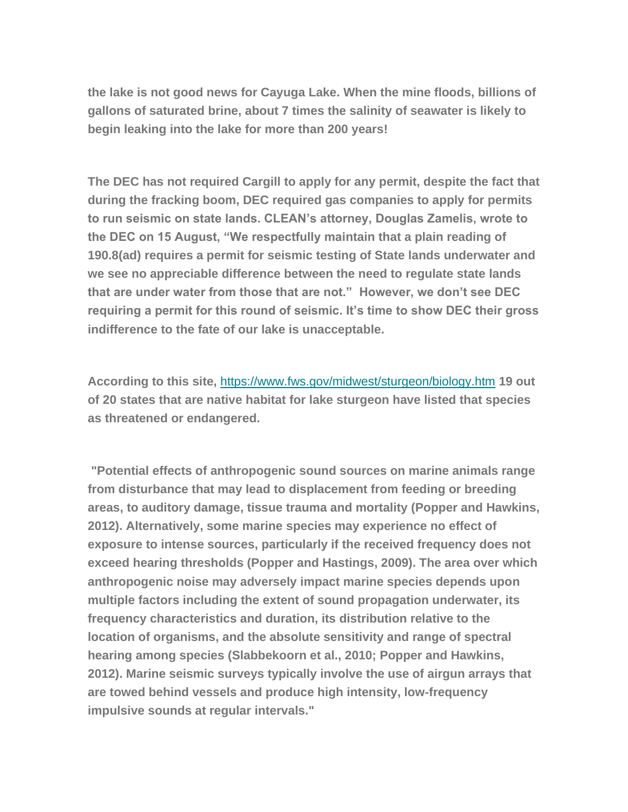**the lake is not good news for Cayuga Lake. When the mine floods, billions of gallons of saturated brine, about 7 times the salinity of seawater is likely to begin leaking into the lake for more than 200 years!**

**The DEC has not required Cargill to apply for any permit, despite the fact that during the fracking boom, DEC required gas companies to apply for permits to run seismic on state lands. CLEAN's attorney, Douglas Zamelis, wrote to the DEC on 15 August, "We respectfully maintain that a plain reading of 190.8(ad) requires a permit for seismic testing of State lands underwater and we see no appreciable difference between the need to regulate state lands that are under water from those that are not." However, we don't see DEC requiring a permit for this round of seismic. It's time to show DEC their gross indifference to the fate of our lake is unacceptable.**

**According to this site,** <https://www.fws.gov/midwest/sturgeon/biology.htm> **19 out of 20 states that are native habitat for lake sturgeon have listed that species as threatened or endangered.**

**"Potential effects of anthropogenic sound sources on marine animals range from disturbance that may lead to displacement from feeding or breeding areas, to auditory damage, tissue trauma and mortality (Popper and Hawkins, 2012). Alternatively, some marine species may experience no effect of exposure to intense sources, particularly if the received frequency does not exceed hearing thresholds (Popper and Hastings, 2009). The area over which anthropogenic noise may adversely impact marine species depends upon multiple factors including the extent of sound propagation underwater, its frequency characteristics and duration, its distribution relative to the location of organisms, and the absolute sensitivity and range of spectral hearing among species (Slabbekoorn et al., 2010; Popper and Hawkins, 2012). Marine seismic surveys typically involve the use of airgun arrays that are towed behind vessels and produce high intensity, low-frequency impulsive sounds at regular intervals."**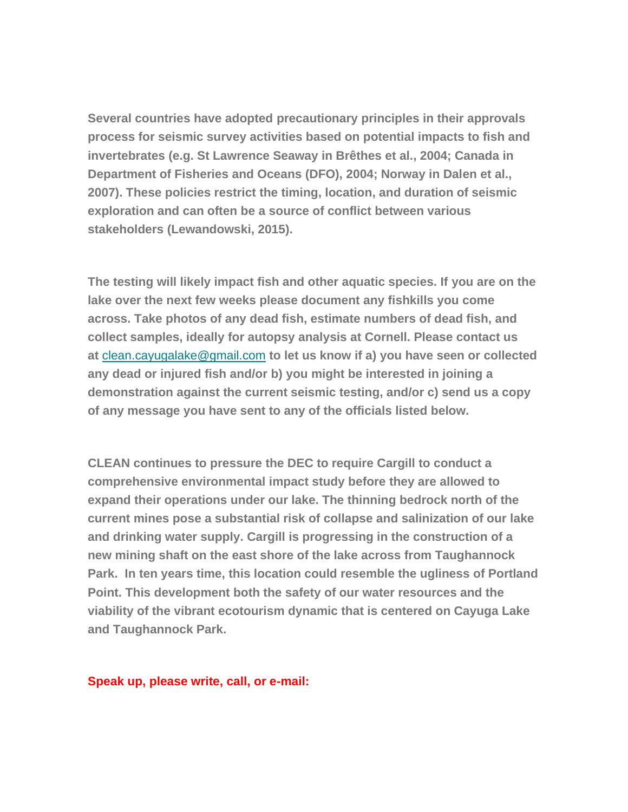**Several countries have adopted precautionary principles in their approvals process for seismic survey activities based on potential impacts to fish and invertebrates (e.g. St Lawrence Seaway in Brêthes et al., 2004; Canada in Department of Fisheries and Oceans (DFO), 2004; Norway in Dalen et al., 2007). These policies restrict the timing, location, and duration of seismic exploration and can often be a source of conflict between various stakeholders (Lewandowski, 2015).**

**The testing will likely impact fish and other aquatic species. If you are on the lake over the next few weeks please document any fishkills you come across. Take photos of any dead fish, estimate numbers of dead fish, and collect samples, ideally for autopsy analysis at Cornell. Please contact us at** [clean.cayugalake@gmail.com](mailto:clean.cayugalake@gmail.com) **to let us know if a) you have seen or collected any dead or injured fish and/or b) you might be interested in joining a demonstration against the current seismic testing, and/or c) send us a copy of any message you have sent to any of the officials listed below.** 

**CLEAN continues to pressure the DEC to require Cargill to conduct a comprehensive environmental impact study before they are allowed to expand their operations under our lake. The thinning bedrock north of the current mines pose a substantial risk of collapse and salinization of our lake and drinking water supply. Cargill is progressing in the construction of a new mining shaft on the east shore of the lake across from Taughannock Park. In ten years time, this location could resemble the ugliness of Portland Point. This development both the safety of our water resources and the viability of the vibrant ecotourism dynamic that is centered on Cayuga Lake and Taughannock Park.**

**Speak up, please write, call, or e-mail:**